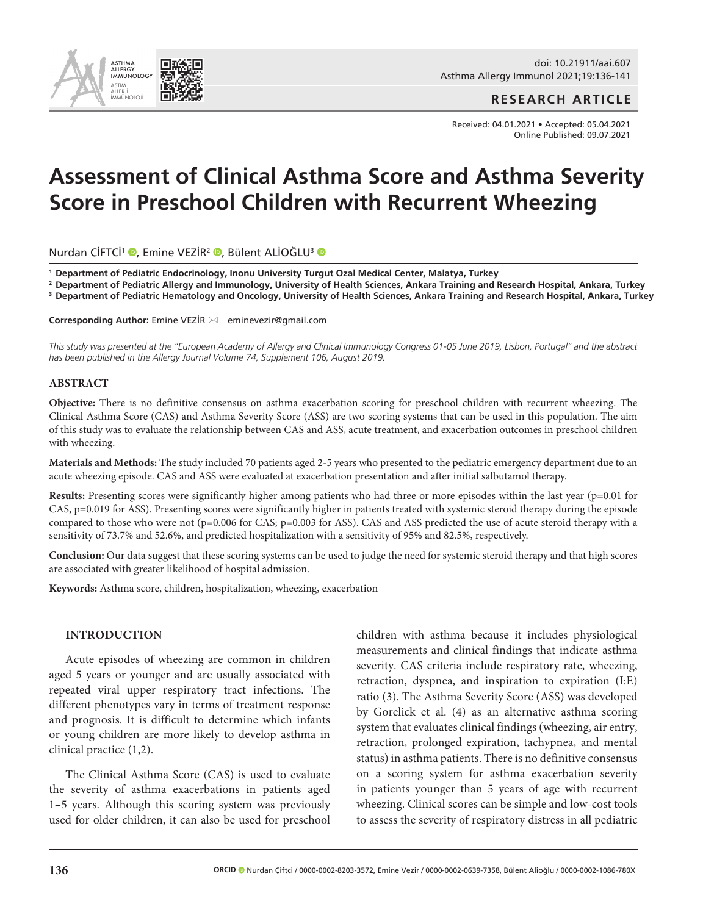

doi: 10.21911/aai.607 Asthma Allergy Immunol 2021;19:136-141

**RESEARCH ARTICLE**

Received: 04.01.2021 • Accepted: 05.04.2021 Online Published: 09.07.2021

# **Assessment of Clinical Asthma Score and Asthma Severity Score in Preschool Children with Recurrent Wheezing**

Nurdan ÇİFTCİ<sup>1</sup> (D, Emine VEZİR<sup>2</sup> (D, Bülent ALİOĞLU<sup>3</sup> (D

**<sup>1</sup> Department of Pediatric Endocrinology, Inonu University Turgut Ozal Medical Center, Malatya, Turkey** 

**<sup>2</sup> Department of Pediatric Allergy and Immunology, University of Health Sciences, Ankara Training and Research Hospital, Ankara, Turkey**

**<sup>3</sup> Department of Pediatric Hematology and Oncology, University of Health Sciences, Ankara Training and Research Hospital, Ankara, Turkey** 

**Corresponding Author:** Emine VEZIR ⊠ eminevezir@gmail.com

*This study was presented at the "European Academy of Allergy and Clinical Immunology Congress 01-05 June 2019, Lisbon, Portugal" and the abstract has been published in the Allergy Journal Volume 74, Supplement 106, August 2019.*

#### **ABSTRACT**

**Objective:** There is no definitive consensus on asthma exacerbation scoring for preschool children with recurrent wheezing. The Clinical Asthma Score (CAS) and Asthma Severity Score (ASS) are two scoring systems that can be used in this population. The aim of this study was to evaluate the relationship between CAS and ASS, acute treatment, and exacerbation outcomes in preschool children with wheezing.

**Materials and Methods:** The study included 70 patients aged 2-5 years who presented to the pediatric emergency department due to an acute wheezing episode. CAS and ASS were evaluated at exacerbation presentation and after initial salbutamol therapy.

**Results:** Presenting scores were significantly higher among patients who had three or more episodes within the last year (p=0.01 for CAS, p=0.019 for ASS). Presenting scores were significantly higher in patients treated with systemic steroid therapy during the episode compared to those who were not (p=0.006 for CAS; p=0.003 for ASS). CAS and ASS predicted the use of acute steroid therapy with a sensitivity of 73.7% and 52.6%, and predicted hospitalization with a sensitivity of 95% and 82.5%, respectively.

**Conclusion:** Our data suggest that these scoring systems can be used to judge the need for systemic steroid therapy and that high scores are associated with greater likelihood of hospital admission.

**Keywords:** Asthma score, children, hospitalization, wheezing, exacerbation

## **INTRODUCTION**

Acute episodes of wheezing are common in children aged 5 years or younger and are usually associated with repeated viral upper respiratory tract infections. The different phenotypes vary in terms of treatment response and prognosis. It is difficult to determine which infants or young children are more likely to develop asthma in clinical practice (1,2).

The Clinical Asthma Score (CAS) is used to evaluate the severity of asthma exacerbations in patients aged 1–5 years. Although this scoring system was previously used for older children, it can also be used for preschool

children with asthma because it includes physiological measurements and clinical findings that indicate asthma severity. CAS criteria include respiratory rate, wheezing, retraction, dyspnea, and inspiration to expiration (I:E) ratio (3). The Asthma Severity Score (ASS) was developed by Gorelick et al. (4) as an alternative asthma scoring system that evaluates clinical findings (wheezing, air entry, retraction, prolonged expiration, tachypnea, and mental status) in asthma patients. There is no definitive consensus on a scoring system for asthma exacerbation severity in patients younger than 5 years of age with recurrent wheezing. Clinical scores can be simple and low-cost tools to assess the severity of respiratory distress in all pediatric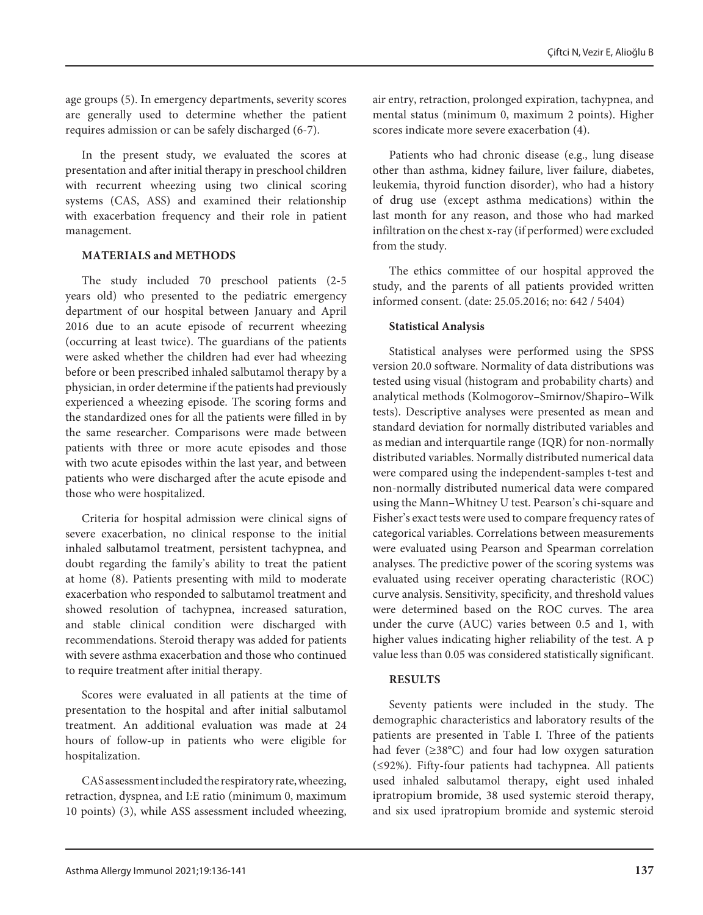age groups (5). In emergency departments, severity scores are generally used to determine whether the patient requires admission or can be safely discharged (6-7).

In the present study, we evaluated the scores at presentation and after initial therapy in preschool children with recurrent wheezing using two clinical scoring systems (CAS, ASS) and examined their relationship with exacerbation frequency and their role in patient management.

#### **MATERIALS and METHODS**

The study included 70 preschool patients (2-5 years old) who presented to the pediatric emergency department of our hospital between January and April 2016 due to an acute episode of recurrent wheezing (occurring at least twice). The guardians of the patients were asked whether the children had ever had wheezing before or been prescribed inhaled salbutamol therapy by a physician, in order determine if the patients had previously experienced a wheezing episode. The scoring forms and the standardized ones for all the patients were filled in by the same researcher. Comparisons were made between patients with three or more acute episodes and those with two acute episodes within the last year, and between patients who were discharged after the acute episode and those who were hospitalized.

Criteria for hospital admission were clinical signs of severe exacerbation, no clinical response to the initial inhaled salbutamol treatment, persistent tachypnea, and doubt regarding the family's ability to treat the patient at home (8). Patients presenting with mild to moderate exacerbation who responded to salbutamol treatment and showed resolution of tachypnea, increased saturation, and stable clinical condition were discharged with recommendations. Steroid therapy was added for patients with severe asthma exacerbation and those who continued to require treatment after initial therapy.

Scores were evaluated in all patients at the time of presentation to the hospital and after initial salbutamol treatment. An additional evaluation was made at 24 hours of follow-up in patients who were eligible for hospitalization.

CAS assessment included the respiratory rate, wheezing, retraction, dyspnea, and I:E ratio (minimum 0, maximum 10 points) (3), while ASS assessment included wheezing,

air entry, retraction, prolonged expiration, tachypnea, and mental status (minimum 0, maximum 2 points). Higher scores indicate more severe exacerbation (4).

Patients who had chronic disease (e.g., lung disease other than asthma, kidney failure, liver failure, diabetes, leukemia, thyroid function disorder), who had a history of drug use (except asthma medications) within the last month for any reason, and those who had marked infiltration on the chest x-ray (if performed) were excluded from the study.

The ethics committee of our hospital approved the study, and the parents of all patients provided written informed consent. (date: 25.05.2016; no: 642 / 5404)

## **Statistical Analysis**

Statistical analyses were performed using the SPSS version 20.0 software. Normality of data distributions was tested using visual (histogram and probability charts) and analytical methods (Kolmogorov–Smirnov/Shapiro–Wilk tests). Descriptive analyses were presented as mean and standard deviation for normally distributed variables and as median and interquartile range (IQR) for non-normally distributed variables. Normally distributed numerical data were compared using the independent-samples t-test and non-normally distributed numerical data were compared using the Mann–Whitney U test. Pearson's chi-square and Fisher's exact tests were used to compare frequency rates of categorical variables. Correlations between measurements were evaluated using Pearson and Spearman correlation analyses. The predictive power of the scoring systems was evaluated using receiver operating characteristic (ROC) curve analysis. Sensitivity, specificity, and threshold values were determined based on the ROC curves. The area under the curve (AUC) varies between 0.5 and 1, with higher values indicating higher reliability of the test. A p value less than 0.05 was considered statistically significant.

## **RESULTS**

Seventy patients were included in the study. The demographic characteristics and laboratory results of the patients are presented in Table I. Three of the patients had fever (≥38°C) and four had low oxygen saturation (≤92%). Fifty-four patients had tachypnea. All patients used inhaled salbutamol therapy, eight used inhaled ipratropium bromide, 38 used systemic steroid therapy, and six used ipratropium bromide and systemic steroid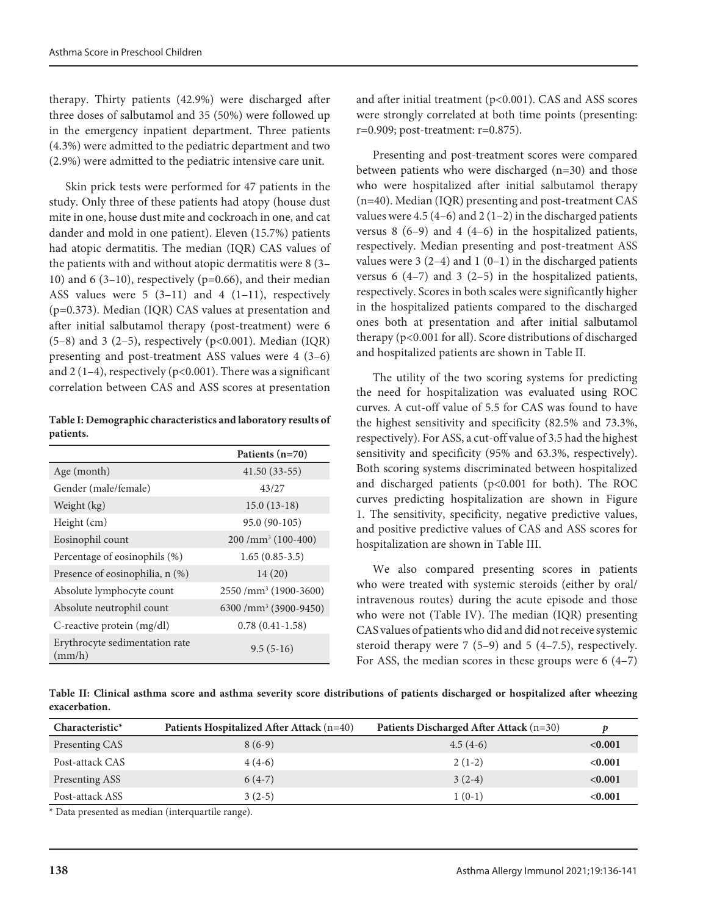therapy. Thirty patients (42.9%) were discharged after three doses of salbutamol and 35 (50%) were followed up in the emergency inpatient department. Three patients (4.3%) were admitted to the pediatric department and two (2.9%) were admitted to the pediatric intensive care unit.

Skin prick tests were performed for 47 patients in the study. Only three of these patients had atopy (house dust mite in one, house dust mite and cockroach in one, and cat dander and mold in one patient). Eleven (15.7%) patients had atopic dermatitis. The median (IQR) CAS values of the patients with and without atopic dermatitis were 8 (3– 10) and 6 (3-10), respectively ( $p=0.66$ ), and their median ASS values were  $5(3-11)$  and  $4(1-11)$ , respectively (p=0.373). Median (IQR) CAS values at presentation and after initial salbutamol therapy (post-treatment) were 6  $(5-8)$  and 3  $(2-5)$ , respectively  $(p<0.001)$ . Median  $(IQR)$ presenting and post-treatment ASS values were 4 (3–6) and  $2(1-4)$ , respectively (p<0.001). There was a significant correlation between CAS and ASS scores at presentation

**Table I: Demographic characteristics and laboratory results of patients.**

|                                          | Patients (n=70)                   |
|------------------------------------------|-----------------------------------|
| Age (month)                              | $41.50(33-55)$                    |
| Gender (male/female)                     | 43/27                             |
| Weight (kg)                              | $15.0(13-18)$                     |
| Height (cm)                              | 95.0 (90-105)                     |
| Eosinophil count                         | $200 / mm3$ (100-400)             |
| Percentage of eosinophils (%)            | $1.65(0.85-3.5)$                  |
| Presence of eosinophilia, n (%)          | 14(20)                            |
| Absolute lymphocyte count                | 2550 /mm <sup>3</sup> (1900-3600) |
| Absolute neutrophil count                | 6300 /mm <sup>3</sup> (3900-9450) |
| C-reactive protein (mg/dl)               | $0.78(0.41-1.58)$                 |
| Erythrocyte sedimentation rate<br>(mm/h) | $9.5(5-16)$                       |

and after initial treatment (p<0.001). CAS and ASS scores were strongly correlated at both time points (presenting: r=0.909; post-treatment: r=0.875).

Presenting and post-treatment scores were compared between patients who were discharged (n=30) and those who were hospitalized after initial salbutamol therapy (n=40). Median (IQR) presenting and post-treatment CAS values were 4.5 (4–6) and 2 (1–2) in the discharged patients versus  $8(6-9)$  and  $4(4-6)$  in the hospitalized patients, respectively. Median presenting and post-treatment ASS values were  $3(2-4)$  and  $1(0-1)$  in the discharged patients versus 6  $(4-7)$  and 3  $(2-5)$  in the hospitalized patients, respectively. Scores in both scales were significantly higher in the hospitalized patients compared to the discharged ones both at presentation and after initial salbutamol therapy (p<0.001 for all). Score distributions of discharged and hospitalized patients are shown in Table II.

The utility of the two scoring systems for predicting the need for hospitalization was evaluated using ROC curves. A cut-off value of 5.5 for CAS was found to have the highest sensitivity and specificity (82.5% and 73.3%, respectively). For ASS, a cut-off value of 3.5 had the highest sensitivity and specificity (95% and 63.3%, respectively). Both scoring systems discriminated between hospitalized and discharged patients ( $p<0.001$  for both). The ROC curves predicting hospitalization are shown in Figure 1. The sensitivity, specificity, negative predictive values, and positive predictive values of CAS and ASS scores for hospitalization are shown in Table III.

We also compared presenting scores in patients who were treated with systemic steroids (either by oral/ intravenous routes) during the acute episode and those who were not (Table IV). The median (IQR) presenting CAS values of patients who did and did not receive systemic steroid therapy were 7 (5–9) and 5 (4–7.5), respectively. For ASS, the median scores in these groups were 6 (4–7)

**Table II: Clinical asthma score and asthma severity score distributions of patients discharged or hospitalized after wheezing exacerbation.**

| $Characteristic*$ | Patients Hospitalized After Attack (n=40) | Patients Discharged After Attack (n=30) |         |
|-------------------|-------------------------------------------|-----------------------------------------|---------|
| Presenting CAS    | $8(6-9)$                                  | $4.5(4-6)$                              | < 0.001 |
| Post-attack CAS   | $4(4-6)$                                  | $2(1-2)$                                | < 0.001 |
| Presenting ASS    | $6(4-7)$                                  | $3(2-4)$                                | < 0.001 |
| Post-attack ASS   | $3(2-5)$                                  | $1(0-1)$                                | < 0.001 |

\* Data presented as median (interquartile range).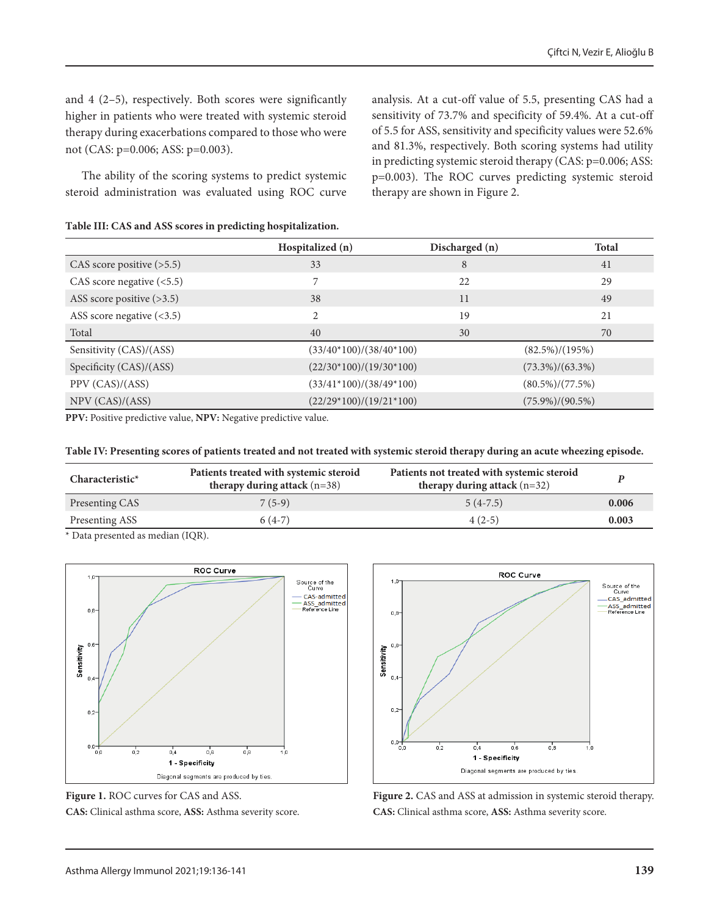and 4 (2–5), respectively. Both scores were significantly higher in patients who were treated with systemic steroid therapy during exacerbations compared to those who were not (CAS: p=0.006; ASS: p=0.003).

The ability of the scoring systems to predict systemic steroid administration was evaluated using ROC curve analysis. At a cut-off value of 5.5, presenting CAS had a sensitivity of 73.7% and specificity of 59.4%. At a cut-off of 5.5 for ASS, sensitivity and specificity values were 52.6% and 81.3%, respectively. Both scoring systems had utility in predicting systemic steroid therapy (CAS: p=0.006; ASS: p=0.003). The ROC curves predicting systemic steroid therapy are shown in Figure 2.

|  |  | Table III: CAS and ASS scores in predicting hospitalization. |
|--|--|--------------------------------------------------------------|
|  |  |                                                              |

|                                 | Hospitalized (n)          | Discharged (n)                                 | <b>Total</b>        |
|---------------------------------|---------------------------|------------------------------------------------|---------------------|
| CAS score positive $($ >5.5 $)$ | 33                        | 8                                              | 41                  |
| CAS score negative $($ <5.5 $)$ | 7                         | 22                                             | 29                  |
| ASS score positive (>3.5)       | 38                        | 11                                             | 49                  |
| ASS score negative $(\leq 3.5)$ | $\overline{c}$            | 19                                             | 21                  |
| Total                           | 40                        | 30                                             | 70                  |
| Sensitivity (CAS)/(ASS)         | $(33/40*100)/(38/40*100)$ |                                                | $(82.5\%)/(195\%)$  |
| Specificity (CAS)/(ASS)         | $(22/30*100)/(19/30*100)$ |                                                | $(73.3\%)/(63.3\%)$ |
| PPV (CAS)/(ASS)                 |                           | $(33/41*100)/(38/49*100)$<br>$(80.5\%/77.5\%)$ |                     |
| NPV (CAS)/(ASS)                 | $(22/29*100)/(19/21*100)$ |                                                | $(75.9\%)/(90.5\%)$ |

**PPV:** Positive predictive value, **NPV:** Negative predictive value.

#### **Table IV: Presenting scores of patients treated and not treated with systemic steroid therapy during an acute wheezing episode.**

| $Characteristic*$ | Patients treated with systemic steroid<br>therapy during attack $(n=38)$ | Patients not treated with systemic steroid<br>therapy during attack $(n=32)$ |       |
|-------------------|--------------------------------------------------------------------------|------------------------------------------------------------------------------|-------|
| Presenting CAS    | $7(5-9)$                                                                 | $5(4-7.5)$                                                                   | 0.006 |
| Presenting ASS    | $6(4-7)$                                                                 | $4(2-5)$                                                                     | 0.003 |

\* Data presented as median (IQR).



**Figure 1.** ROC curves for CAS and ASS. **CAS:** Clinical asthma score, **ASS:** Asthma severity score.



**Figure 2.** CAS and ASS at admission in systemic steroid therapy. **CAS:** Clinical asthma score, **ASS:** Asthma severity score.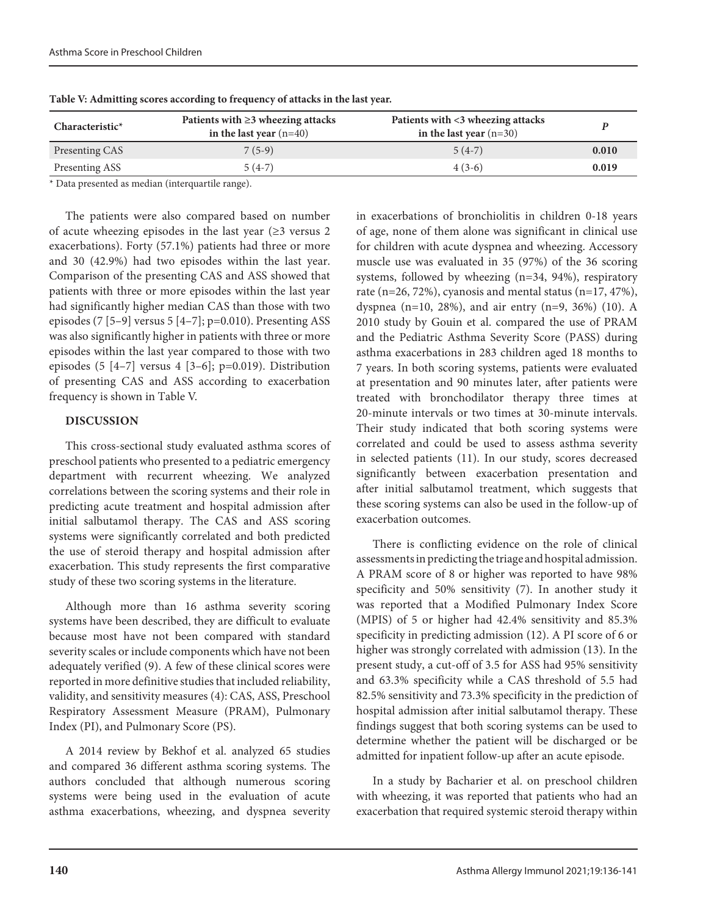| $Characteristic*$ | Patients with $\geq$ 3 wheezing attacks<br>in the last year $(n=40)$ | Patients with <3 wheezing attacks<br>in the last year $(n=30)$ |       |
|-------------------|----------------------------------------------------------------------|----------------------------------------------------------------|-------|
| Presenting CAS    | $7(5-9)$                                                             | $5(4-7)$                                                       | 0.010 |
| Presenting ASS    | $5(4-7)$                                                             | $4(3-6)$                                                       | 0.019 |

**Table V: Admitting scores according to frequency of attacks in the last year.**

\* Data presented as median (interquartile range).

The patients were also compared based on number of acute wheezing episodes in the last year  $(\geq 3$  versus 2 exacerbations). Forty (57.1%) patients had three or more and 30 (42.9%) had two episodes within the last year. Comparison of the presenting CAS and ASS showed that patients with three or more episodes within the last year had significantly higher median CAS than those with two episodes (7 [5–9] versus 5 [4–7];  $p=0.010$ ). Presenting ASS was also significantly higher in patients with three or more episodes within the last year compared to those with two episodes (5  $[4-7]$  versus 4  $[3-6]$ ; p=0.019). Distribution of presenting CAS and ASS according to exacerbation frequency is shown in Table V.

## **DISCUSSION**

This cross-sectional study evaluated asthma scores of preschool patients who presented to a pediatric emergency department with recurrent wheezing. We analyzed correlations between the scoring systems and their role in predicting acute treatment and hospital admission after initial salbutamol therapy. The CAS and ASS scoring systems were significantly correlated and both predicted the use of steroid therapy and hospital admission after exacerbation. This study represents the first comparative study of these two scoring systems in the literature.

Although more than 16 asthma severity scoring systems have been described, they are difficult to evaluate because most have not been compared with standard severity scales or include components which have not been adequately verified (9). A few of these clinical scores were reported in more definitive studies that included reliability, validity, and sensitivity measures (4): CAS, ASS, Preschool Respiratory Assessment Measure (PRAM), Pulmonary Index (PI), and Pulmonary Score (PS).

A 2014 review by Bekhof et al. analyzed 65 studies and compared 36 different asthma scoring systems. The authors concluded that although numerous scoring systems were being used in the evaluation of acute asthma exacerbations, wheezing, and dyspnea severity in exacerbations of bronchiolitis in children 0-18 years of age, none of them alone was significant in clinical use for children with acute dyspnea and wheezing. Accessory muscle use was evaluated in 35 (97%) of the 36 scoring systems, followed by wheezing (n=34, 94%), respiratory rate (n=26, 72%), cyanosis and mental status (n=17, 47%), dyspnea (n=10, 28%), and air entry (n=9, 36%) (10). A 2010 study by Gouin et al. compared the use of PRAM and the Pediatric Asthma Severity Score (PASS) during asthma exacerbations in 283 children aged 18 months to 7 years. In both scoring systems, patients were evaluated at presentation and 90 minutes later, after patients were treated with bronchodilator therapy three times at 20-minute intervals or two times at 30-minute intervals. Their study indicated that both scoring systems were correlated and could be used to assess asthma severity in selected patients (11). In our study, scores decreased significantly between exacerbation presentation and after initial salbutamol treatment, which suggests that these scoring systems can also be used in the follow-up of exacerbation outcomes.

There is conflicting evidence on the role of clinical assessments in predicting the triage and hospital admission. A PRAM score of 8 or higher was reported to have 98% specificity and 50% sensitivity (7). In another study it was reported that a Modified Pulmonary Index Score (MPIS) of 5 or higher had 42.4% sensitivity and 85.3% specificity in predicting admission (12). A PI score of 6 or higher was strongly correlated with admission (13). In the present study, a cut-off of 3.5 for ASS had 95% sensitivity and 63.3% specificity while a CAS threshold of 5.5 had 82.5% sensitivity and 73.3% specificity in the prediction of hospital admission after initial salbutamol therapy. These findings suggest that both scoring systems can be used to determine whether the patient will be discharged or be admitted for inpatient follow-up after an acute episode.

In a study by Bacharier et al. on preschool children with wheezing, it was reported that patients who had an exacerbation that required systemic steroid therapy within